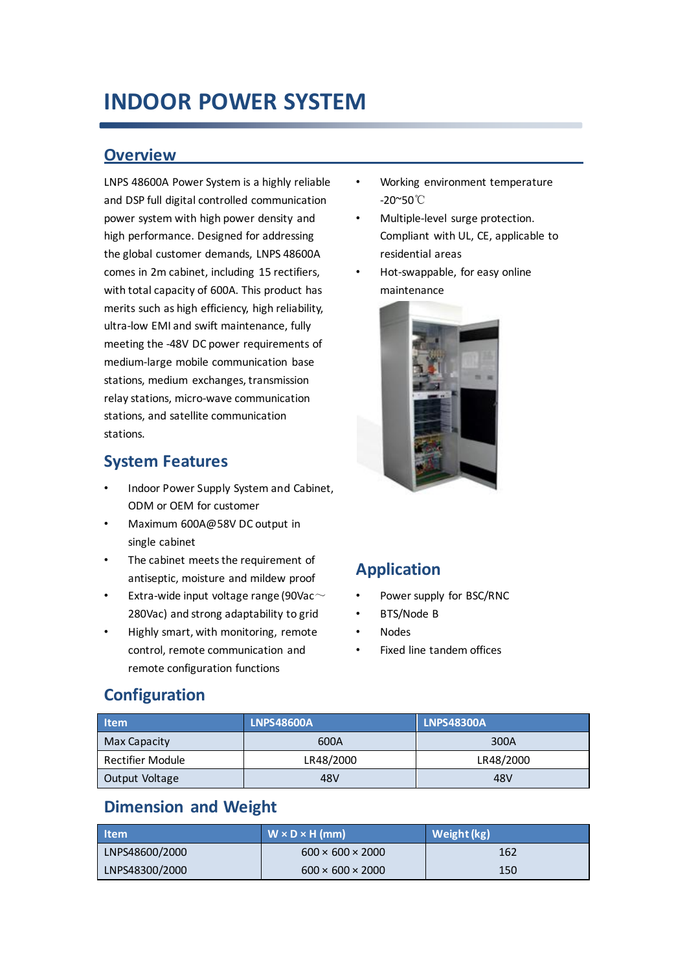## **INDOOR POWER SYSTEM**

#### **Overview**

LNPS 48600A Power System is a highly reliable and DSP full digital controlled communication power system with high power density and high performance. Designed for addressing the global customer demands, LNPS 48600A comes in 2m cabinet, including 15 rectifiers, with total capacity of 600A. This product has merits such as high efficiency, high reliability, ultra-low EMI and swift maintenance, fully meeting the -48V DC power requirements of medium-large mobile communication base stations, medium exchanges, transmission relay stations, micro-wave communication stations, and satellite communication stations.

#### **System Features**

- Indoor Power Supply System and Cabinet, ODM or OEM for customer
- Maximum 600A@58V DC output in single cabinet
- The cabinet meets the requirement of antiseptic, moisture and mildew proof
- Extra-wide input voltage range (90Vac $\sim$ 280Vac) and strong adaptability to grid
- Highly smart, with monitoring, remote control, remote communication and remote configuration functions
- Working environment temperature -20~50℃
- Multiple-level surge protection. Compliant with UL, CE, applicable to residential areas
- Hot-swappable, for easy online maintenance



## **Application**

- Power supply for BSC/RNC
- BTS/Node B
- Nodes
- Fixed line tandem offices

## **Configuration**

| <b>Item</b>      | <b>LNPS48600A</b> | <b>LNPS48300A</b> |  |
|------------------|-------------------|-------------------|--|
| Max Capacity     | 600A              | 300A              |  |
| Rectifier Module | LR48/2000         | LR48/2000         |  |
| Output Voltage   | 48V               | 48V               |  |

## **Dimension and Weight**

| l Item         | $W \times D \times H$ (mm)   | Weight (kg) |
|----------------|------------------------------|-------------|
| LNPS48600/2000 | $600 \times 600 \times 2000$ | 162         |
| LNPS48300/2000 | $600 \times 600 \times 2000$ | 150         |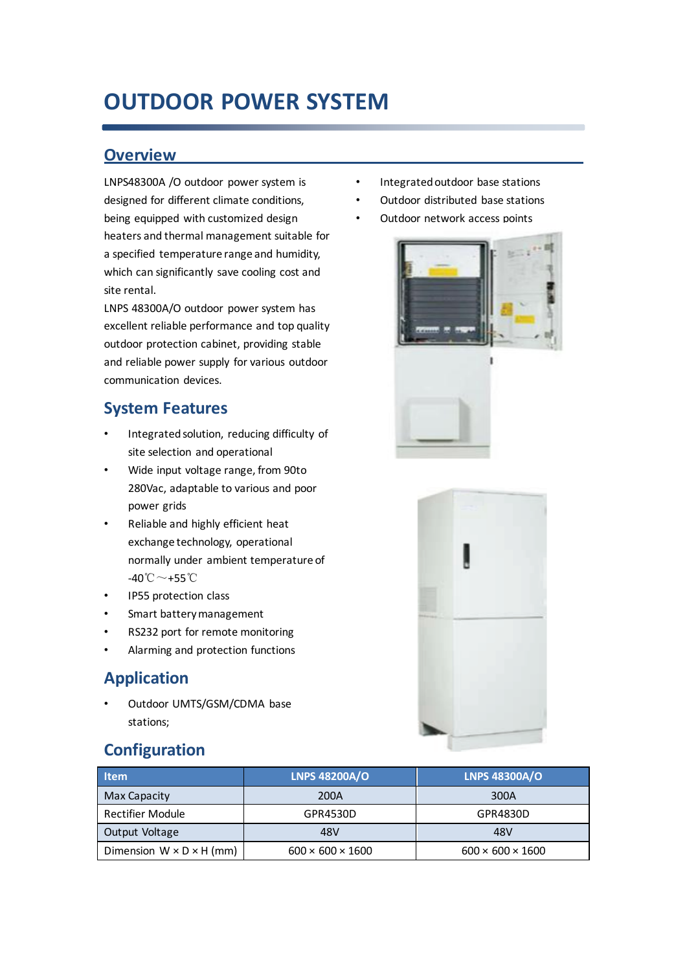# **OUTDOOR POWER SYSTEM**

#### **Overview**

LNPS48300A /O outdoor power system is designed for different climate conditions, being equipped with customized design heaters and thermal management suitable for a specified temperature range and humidity, which can significantly save cooling cost and site rental.

LNPS 48300A/O outdoor power system has excellent reliable performance and top quality outdoor protection cabinet, providing stable and reliable power supply for various outdoor communication devices.

### **System Features**

- Integrated solution, reducing difficulty of site selection and operational
- Wide input voltage range, from 90to 280Vac, adaptable to various and poor power grids
- Reliable and highly efficient heat exchange technology, operational normally under ambient temperature of -40℃~+55℃
- IP55 protection class
- Smart battery management
- RS232 port for remote monitoring
- Alarming and protection functions

## **Application**

• Outdoor UMTS/GSM/CDMA base stations;

## **Configuration**



- Outdoor distributed base stations
- Outdoor network access points





| <b>Item</b>                          | <b>LNPS 48200A/O</b>         | <b>LNPS 48300A/O</b>         |
|--------------------------------------|------------------------------|------------------------------|
| Max Capacity                         | 200A                         | 300A                         |
| Rectifier Module                     | GPR4530D                     | GPR4830D                     |
| Output Voltage                       | 48V                          | 48V                          |
| Dimension $W \times D \times H$ (mm) | $600 \times 600 \times 1600$ | $600 \times 600 \times 1600$ |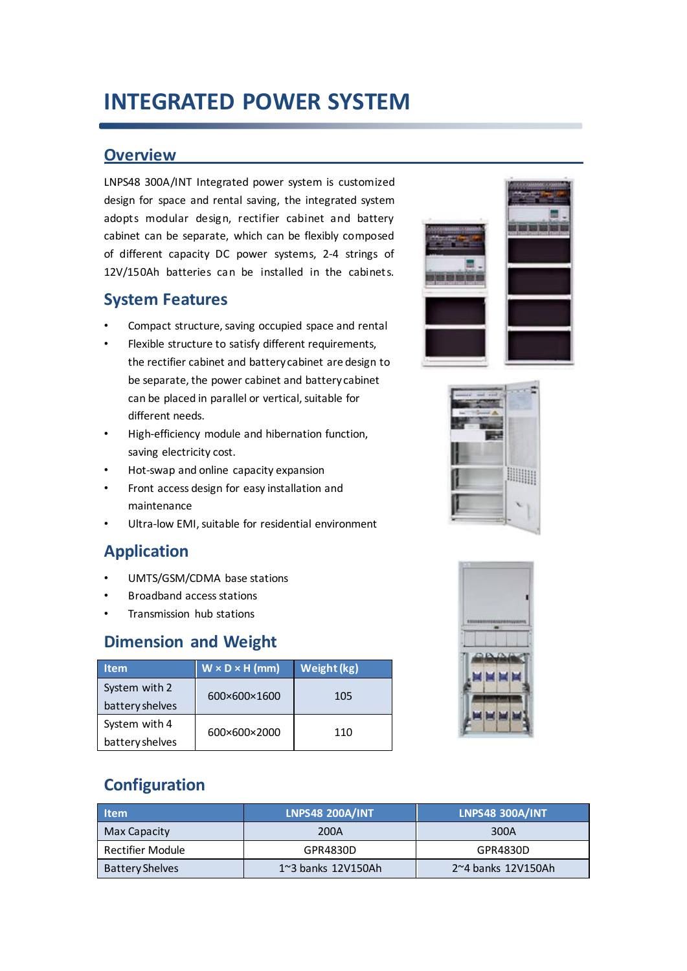# **INTEGRATED POWER SYSTEM**

#### **Overview**

LNPS48 300A/INT Integrated power system is customized design for space and rental saving, the integrated system adopts modular design, rectifier cabinet and battery cabinet can be separate, which can be flexibly composed of different capacity DC power systems, 2-4 strings of 12V/150Ah batteries can be installed in the cabinets.

#### **System Features**

- Compact structure, saving occupied space and rental
- Flexible structure to satisfy different requirements, the rectifier cabinet and battery cabinet are design to be separate, the power cabinet and battery cabinet can be placed in parallel or vertical, suitable for different needs.
- High-efficiency module and hibernation function, saving electricity cost.
- Hot-swap and online capacity expansion
- Front access design for easy installation and maintenance
- Ultra-low EMI, suitable for residential environment

## **Application**

- UMTS/GSM/CDMA base stations
- Broadband access stations
- Transmission hub stations

## **Dimension and Weight**

| Item.           | $W \times D \times H$ (mm) | Weight (kg) |  |
|-----------------|----------------------------|-------------|--|
| System with 2   | 600×600×1600               | 105         |  |
| battery shelves |                            |             |  |
| System with 4   |                            |             |  |
| battery shelves | 600×600×2000               | 110         |  |







## **Configuration**

| <b>Item</b>            | <b>LNPS48 200A/INT</b>       | <b>LNPS48 300A/INT</b>     |
|------------------------|------------------------------|----------------------------|
| Max Capacity           | 200A                         | 300A                       |
| Rectifier Module       | GPR4830D                     | GPR4830D                   |
| <b>Battery Shelves</b> | $1^{\sim}3$ banks $12V150Ah$ | $2^{\sim}4$ banks 12V150Ah |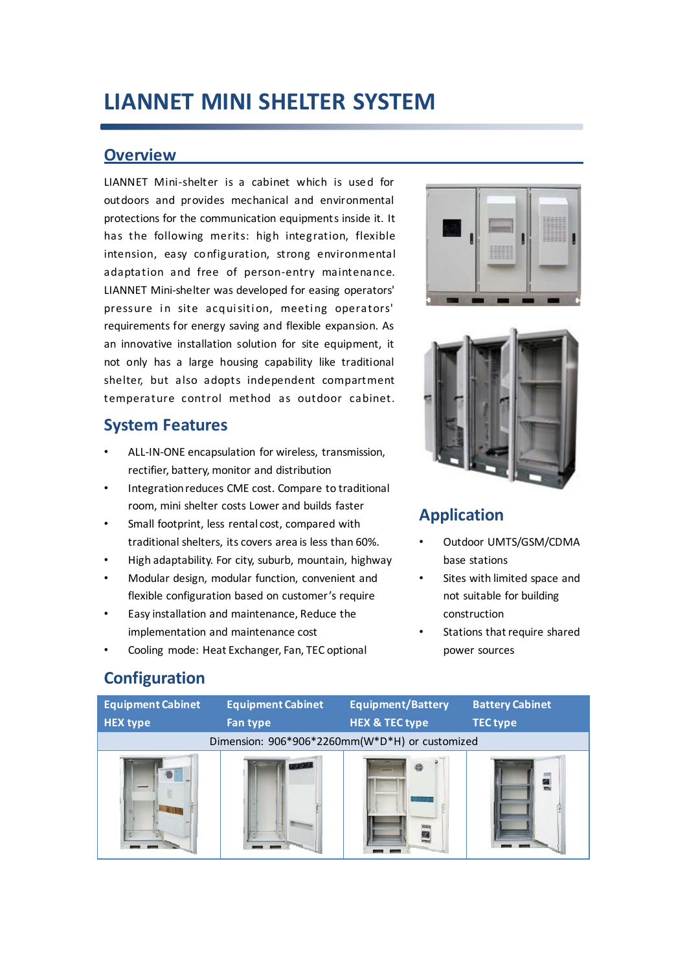## **LIANNET MINI SHELTER SYSTEM**

#### **Overview**

LIANNET Mini-shelter is a cabinet which is used for outdoors and provides mechanical and environmental protections for the communication equipments inside it. It has the following merits: high integration, flexible intension, easy co nfiguration, strong environmental adaptation and free of person-entry maintenance. LIANNET Mini-shelter was developed for easing operators' pressure in site acquisition, meeting operators' requirements for energy saving and flexible expansion. As an innovative installation solution for site equipment, it not only has a large housing capability like traditional shelter, but also adopts independent compartment temperature control method as outdoor cabinet.

#### **System Features**

- ALL-IN-ONE encapsulation for wireless, transmission, rectifier, battery, monitor and distribution
- Integration reduces CME cost. Compare to traditional room, mini shelter costs Lower and builds faster
- Small footprint, less rental cost, compared with traditional shelters, its covers area is less than 60%.
- High adaptability. For city, suburb, mountain, highway
- Modular design, modular function, convenient and flexible configuration based on customer's require
- Easy installation and maintenance, Reduce the implementation and maintenance cost
- Cooling mode: Heat Exchanger, Fan, TEC optional





## **Application**

- Outdoor UMTS/GSM/CDMA base stations
- Sites with limited space and not suitable for building construction
- Stations that require shared power sources

## **Configuration**

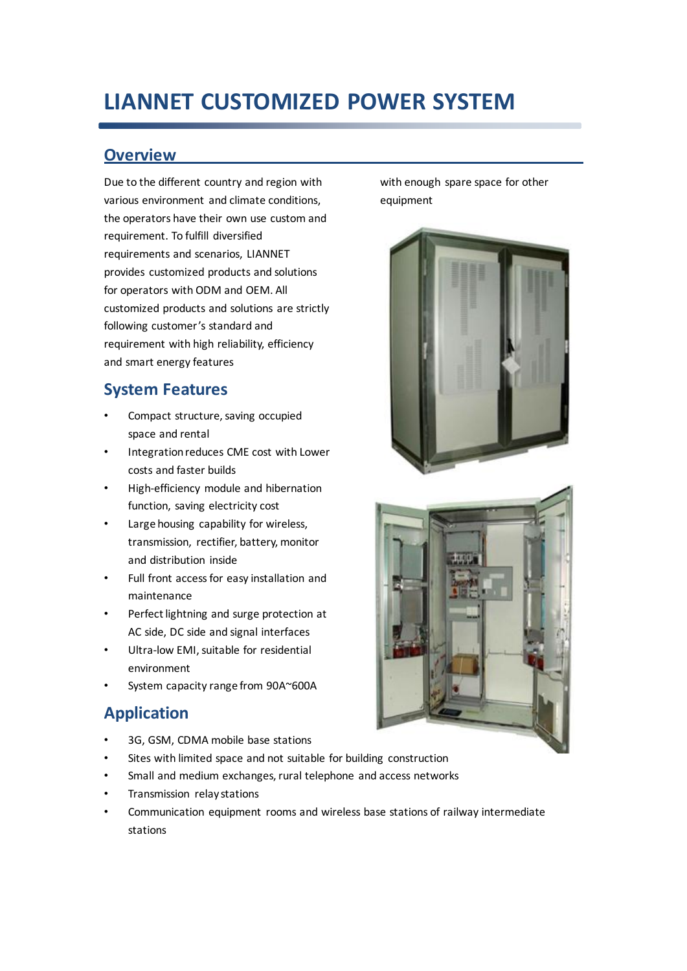# **LIANNET CUSTOMIZED POWER SYSTEM**

### **Overview**

Due to the different country and region with various environment and climate conditions, the operators have their own use custom and requirement. To fulfill diversified requirements and scenarios, LIANNET provides customized products and solutions for operators with ODM and OEM. All customized products and solutions are strictly following customer's standard and requirement with high reliability, efficiency and smart energy features

## **System Features**

- Compact structure, saving occupied space and rental
- Integration reduces CME cost with Lower costs and faster builds
- High-efficiency module and hibernation function, saving electricity cost
- Large housing capability for wireless, transmission, rectifier, battery, monitor and distribution inside
- Full front access for easy installation and maintenance
- Perfect lightning and surge protection at AC side, DC side and signal interfaces
- Ultra-low EMI, suitable for residential environment
- System capacity range from 90A~600A

## **Application**

- 3G, GSM, CDMA mobile base stations
- Sites with limited space and not suitable for building construction
- Small and medium exchanges, rural telephone and access networks
- Transmission relay stations
- Communication equipment rooms and wireless base stations of railway intermediate stations

with enough spare space for other equipment



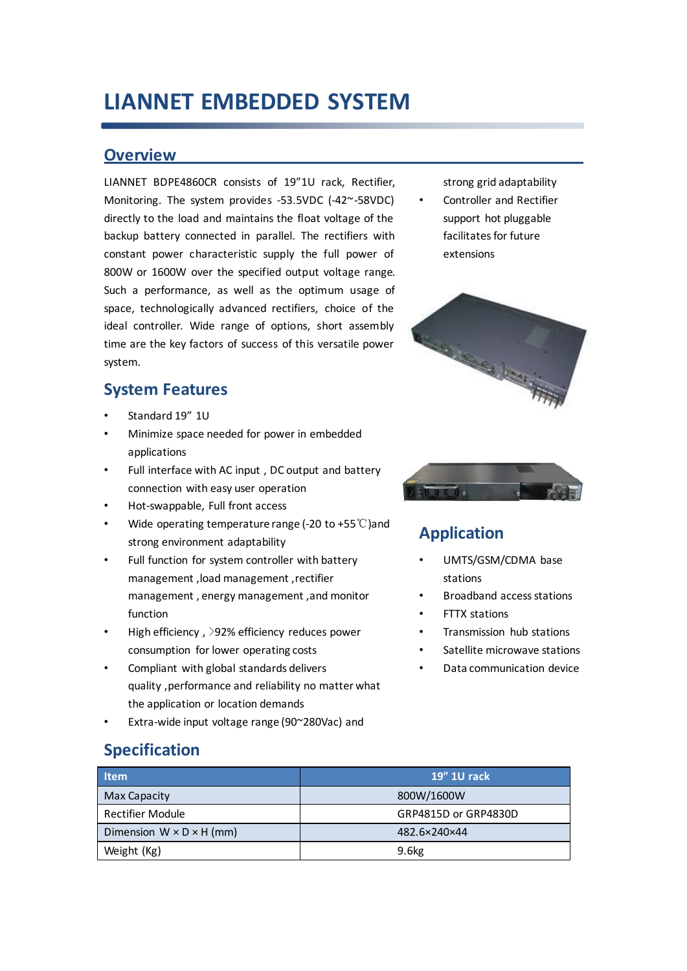## **LIANNET EMBEDDED SYSTEM**

#### **Overview**

LIANNET BDPE4860CR consists of 19"1U rack, Rectifier, Monitoring. The system provides -53.5VDC (-42~-58VDC) directly to the load and maintains the float voltage of the backup battery connected in parallel. The rectifiers with constant power characteristic supply the full power of 800W or 1600W over the specified output voltage range. Such a performance, as well as the optimum usage of space, technologically advanced rectifiers, choice of the ideal controller. Wide range of options, short assembly time are the key factors of success of this versatile power system.

## **System Features**

- Standard 19" 1U
- Minimize space needed for power in embedded applications
- Full interface with AC input, DC output and battery connection with easy user operation
- Hot-swappable, Full front access
- Wide operating temperature range (-20 to +55℃)and strong environment adaptability
- Full function for system controller with battery management ,load management ,rectifier management , energy management ,and monitor function
- High efficiency, >92% efficiency reduces power consumption for lower operating costs
- Compliant with global standards delivers quality ,performance and reliability no matter what the application or location demands
- Extra-wide input voltage range (90~280Vac) and

## **Specification**

| <b>Item</b>                          | <b>19" 1U rack</b>   |
|--------------------------------------|----------------------|
| Max Capacity                         | 800W/1600W           |
| <b>Rectifier Module</b>              | GRP4815D or GRP4830D |
| Dimension $W \times D \times H$ (mm) | 482.6×240×44         |
| Weight (Kg)                          | 9.6 <sub>kg</sub>    |

strong grid adaptability Controller and Rectifier support hot pluggable facilitates for future extensions





## **Application**

- UMTS/GSM/CDMA base stations
- Broadband access stations
- FTTX stations
- Transmission hub stations
- Satellite microwave stations
- Data communication device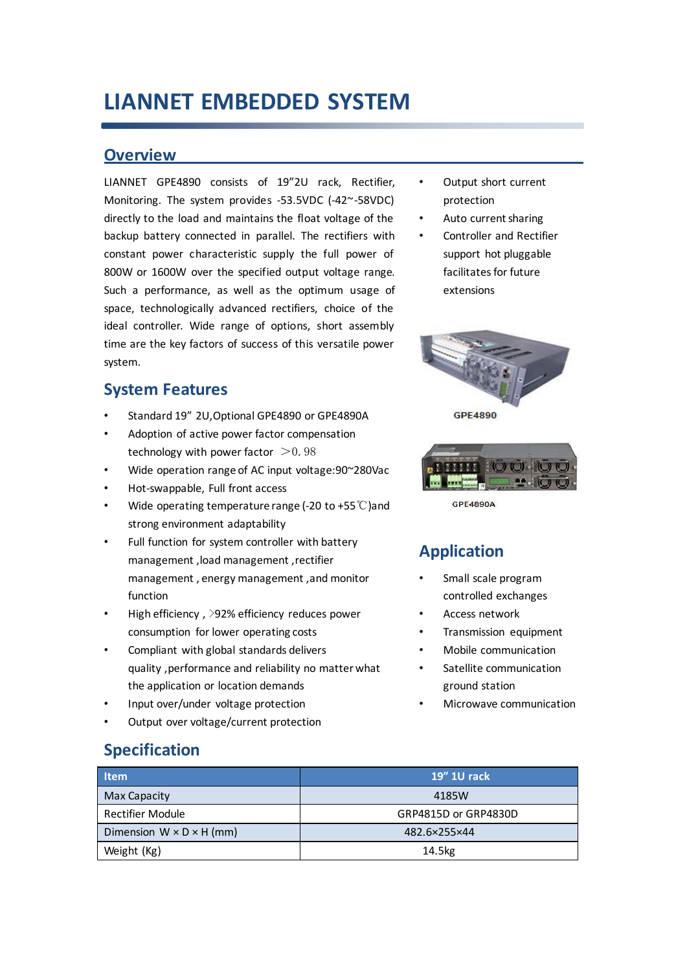## **LIANNET EMBEDDED SYSTEM**

#### **Overview**

LIANNET GPE4890 consists of 19"2U rack, Rectifier, Monitoring. The system provides -53.5VDC (-42~-58VDC) directly to the load and maintains the float voltage of the backup battery connected in parallel. The rectifiers with constant power characteristic supply the full power of 800W or 1600W over the specified output voltage range. Such a performance, as well as the optimum usage of space, technologically advanced rectifiers, choice of the ideal controller. Wide range of options, short assembly time are the key factors of success of this versatile power system.

#### **System Features**

- Standard 19" 2U,Optional GPE4890 or GPE4890A
- Adoption of active power factor compensation technology with power factor  $>$  0.98
- Wide operation range of AC input voltage:90~280Vac
- Hot-swappable, Full front access
- Wide operating temperature range (-20 to +55℃)and strong environment adaptability
- Full function for system controller with battery management ,load management ,rectifier management , energy management ,and monitor function
- High efficiency, >92% efficiency reduces power consumption for lower operating costs
- Compliant with global standards delivers quality ,performance and reliability no matter what the application or location demands
- Input over/under voltage protection
- Output over voltage/current protection

#### Output short current protection

- Auto current sharing
- Controller and Rectifier support hot pluggable facilitates for future extensions





**GPF4890A** 

## **Application**

- Small scale program controlled exchanges
- Access network
- Transmission equipment
- Mobile communication
- Satellite communication ground station
- Microwave communication

#### **Specification**

| <b>Item</b>                          | 19" 1U rack          |
|--------------------------------------|----------------------|
| Max Capacity                         | 4185W                |
| Rectifier Module                     | GRP4815D or GRP4830D |
| Dimension $W \times D \times H$ (mm) | 482.6×255×44         |
| Weight (Kg)                          | 14.5kg               |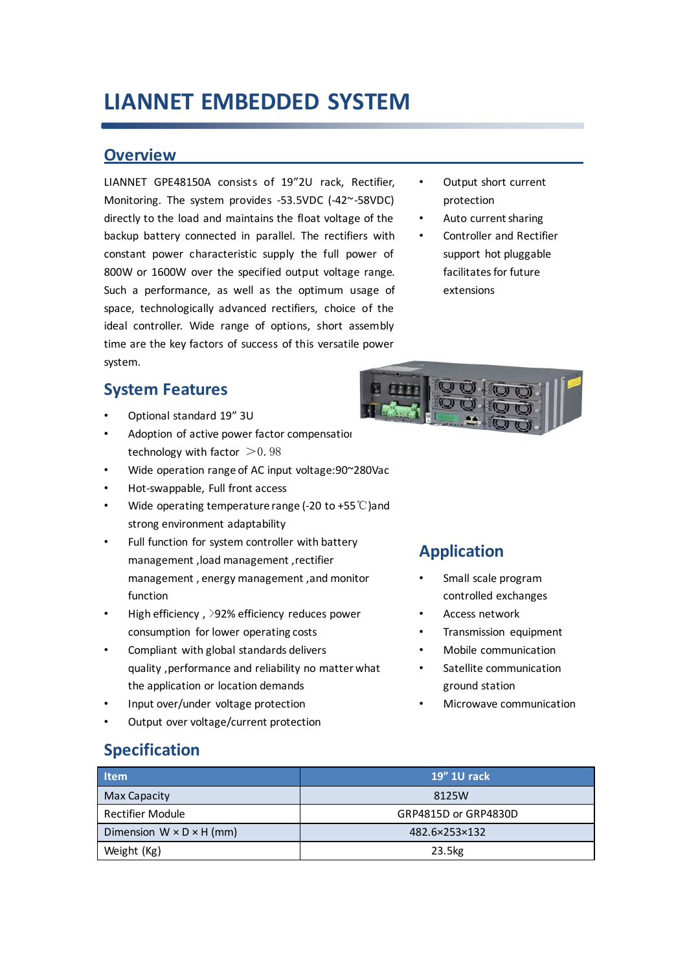## **LIANNET EMBEDDED SYSTEM**

#### **Overview**

LIANNET GPE48150A consists of 19"2U rack, Rectifier, Monitoring. The system provides -53.5VDC (-42~-58VDC) directly to the load and maintains the float voltage of the backup battery connected in parallel. The rectifiers with constant power characteristic supply the full power of 800W or 1600W over the specified output voltage range. Such a performance, as well as the optimum usage of space, technologically advanced rectifiers, choice of the ideal controller. Wide range of options, short assembly time are the key factors of success of this versatile power system.

### **System Features**

- Optional standard 19" 3U
- Adoption of active power factor compensation technology with factor  $>$  0.98
- Wide operation range of AC input voltage:90~280Vac
- Hot-swappable, Full front access
- Wide operating temperature range (-20 to +55℃)and strong environment adaptability
- Full function for system controller with battery management ,load management ,rectifier management , energy management ,and monitor function
- High efficiency, >92% efficiency reduces power consumption for lower operating costs
- Compliant with global standards delivers quality ,performance and reliability no matter what the application or location demands
- Input over/under voltage protection
- Output over voltage/current protection

#### Output short current protection

- Auto current sharing
- Controller and Rectifier support hot pluggable facilitates for future extensions



## **Application**

- Small scale program controlled exchanges
- Access network
- Transmission equipment
- Mobile communication
- Satellite communication ground station
- Microwave communication

#### **Specification**

| <b>Item</b>                          | 19" 1U rack          |
|--------------------------------------|----------------------|
| Max Capacity                         | 8125W                |
| <b>Rectifier Module</b>              | GRP4815D or GRP4830D |
| Dimension $W \times D \times H$ (mm) | 482.6×253×132        |
| Weight (Kg)                          | 23.5kg               |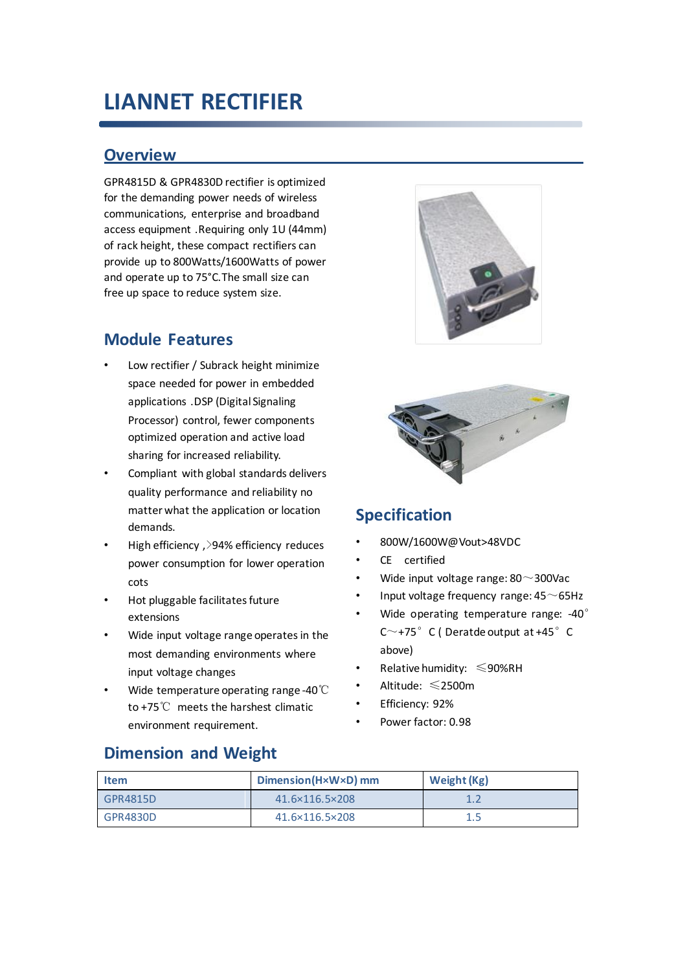## **LIANNET RECTIFIER**

#### **Overview**

GPR4815D & GPR4830D rectifier is optimized for the demanding power needs of wireless communications, enterprise and broadband access equipment .Requiring only 1U (44mm) of rack height, these compact rectifiers can provide up to 800Watts/1600Watts of power and operate up to 75°C.The small size can free up space to reduce system size.

## **Module Features**

- Low rectifier / Subrack height minimize space needed for power in embedded applications .DSP (Digital Signaling Processor) control, fewer components optimized operation and active load sharing for increased reliability.
- Compliant with global standards delivers quality performance and reliability no matter what the application or location demands.
- High efficiency ,>94% efficiency reduces power consumption for lower operation cots
- Hot pluggable facilitates future extensions
- Wide input voltage range operates in the most demanding environments where input voltage changes
- Wide temperature operating range -40℃ to +75℃ meets the harshest climatic environment requirement.





## **Specification**

- 800W/1600W@Vout>48VDC
- CE certified
- Wide input voltage range:  $80^\sim$ 300Vac
- Input voltage frequency range:  $45\sim$  65Hz
- Wide operating temperature range: -40° C $\sim$ +75°C (Deratde output at +45°C above)
- Relative humidity: ≤90%RH
- Altitude: ≤2500m
- Efficiency: 92%
- Power factor: 0.98

## **Dimension and Weight**

| Item     | Dimension(HxWxD) mm | Weight (Kg) |
|----------|---------------------|-------------|
| GPR4815D | 41.6×116.5×208      | 15          |
| GPR4830D | 41.6×116.5×208      | 1.5         |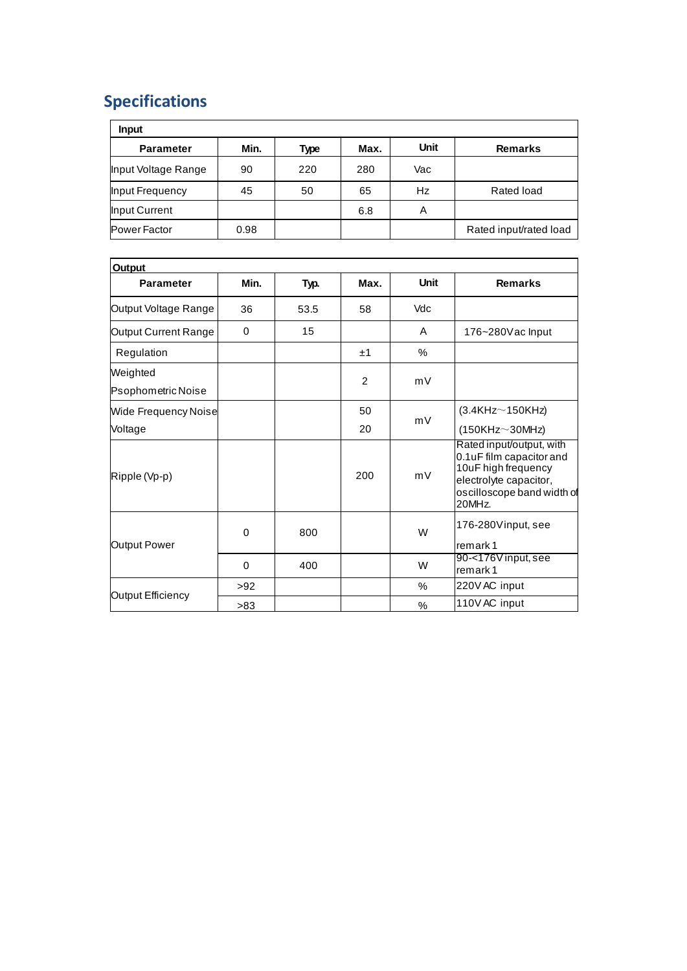## **Specifications**

| <b>Input</b>        |      |      |      |             |                        |
|---------------------|------|------|------|-------------|------------------------|
| <b>Parameter</b>    | Min. | Type | Max. | <b>Unit</b> | <b>Remarks</b>         |
| Input Voltage Range | 90   | 220  | 280  | Vac         |                        |
| Input Frequency     | 45   | 50   | 65   | Hz          | Rated load             |
| Input Current       |      |      | 6.8  | Α           |                        |
| <b>Power Factor</b> | 0.98 |      |      |             | Rated input/rated load |

| <b>Output</b>                  |          |      |      |      |                                                                                                                                               |
|--------------------------------|----------|------|------|------|-----------------------------------------------------------------------------------------------------------------------------------------------|
| <b>Parameter</b>               | Min.     | Typ. | Max. | Unit | <b>Remarks</b>                                                                                                                                |
| Output Voltage Range           | 36       | 53.5 | 58   | Vdc  |                                                                                                                                               |
| Output Current Range           | $\Omega$ | 15   |      | A    | 176~280Vac Input                                                                                                                              |
| Regulation                     |          |      | ±1   | $\%$ |                                                                                                                                               |
| Weighted<br>Psophometric Noise |          |      | 2    | mV   |                                                                                                                                               |
| <b>Wide Frequency Noise</b>    |          |      | 50   |      | (3.4KHz <sub>150KHz</sub> )                                                                                                                   |
| Voltage                        |          |      | 20   | mV   | $(150KHz \sim 30MHz)$                                                                                                                         |
| Ripple (Vp-p)                  |          |      | 200  | mV   | Rated input/output, with<br>0.1uF film capacitor and<br>10uF high frequency<br>electrolyte capacitor,<br>oscilloscope band width of<br>20MHz. |
| Output Power                   | $\Omega$ | 800  |      | W    | 176-280Vinput, see<br>remark 1                                                                                                                |
|                                | $\Omega$ | 400  |      | W    | 90-<176V input, see<br>remark 1                                                                                                               |
| Output Efficiency              | >92      |      |      | $\%$ | 220V AC input                                                                                                                                 |
|                                | >83      |      |      | %    | 110V AC input                                                                                                                                 |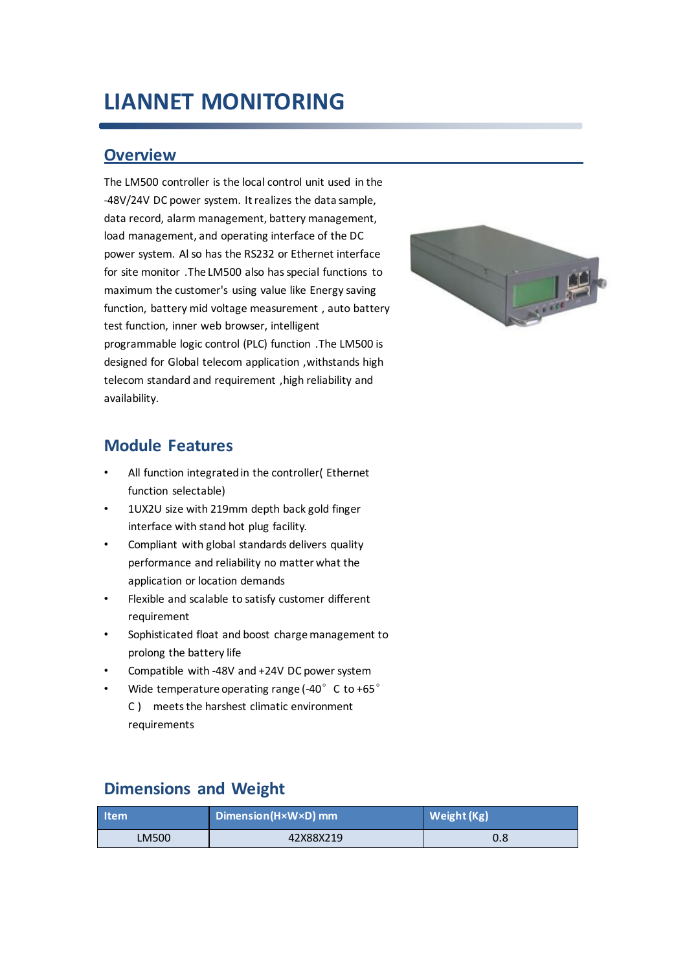## **LIANNET MONITORING**

#### **Overview**

The LM500 controller is the local control unit used in the -48V/24V DC power system. It realizes the data sample, data record, alarm management, battery management, load management, and operating interface of the DC power system. Al so has the RS232 or Ethernet interface for site monitor .The LM500 also has special functions to maximum the customer's using value like Energy saving function, battery mid voltage measurement , auto battery test function, inner web browser, intelligent programmable logic control (PLC) function .The LM500 is designed for Global telecom application ,withstands high telecom standard and requirement ,high reliability and availability.



#### **Module Features**

- All function integrated in the controller( Ethernet function selectable)
- 1UX2U size with 219mm depth back gold finger interface with stand hot plug facility.
- Compliant with global standards delivers quality performance and reliability no matter what the application or location demands
- Flexible and scalable to satisfy customer different requirement
- Sophisticated float and boost charge management to prolong the battery life
- Compatible with -48V and +24V DC power system
- Wide temperature operating range (-40 $^{\circ}$  C to +65 $^{\circ}$ C ) meets the harshest climatic environment requirements

#### **Dimensions and Weight**

| <b>Item</b> | Dimension(H×W×D) mm | Weight (Kg) |
|-------------|---------------------|-------------|
| LM500       | 42X88X219           | 0.8         |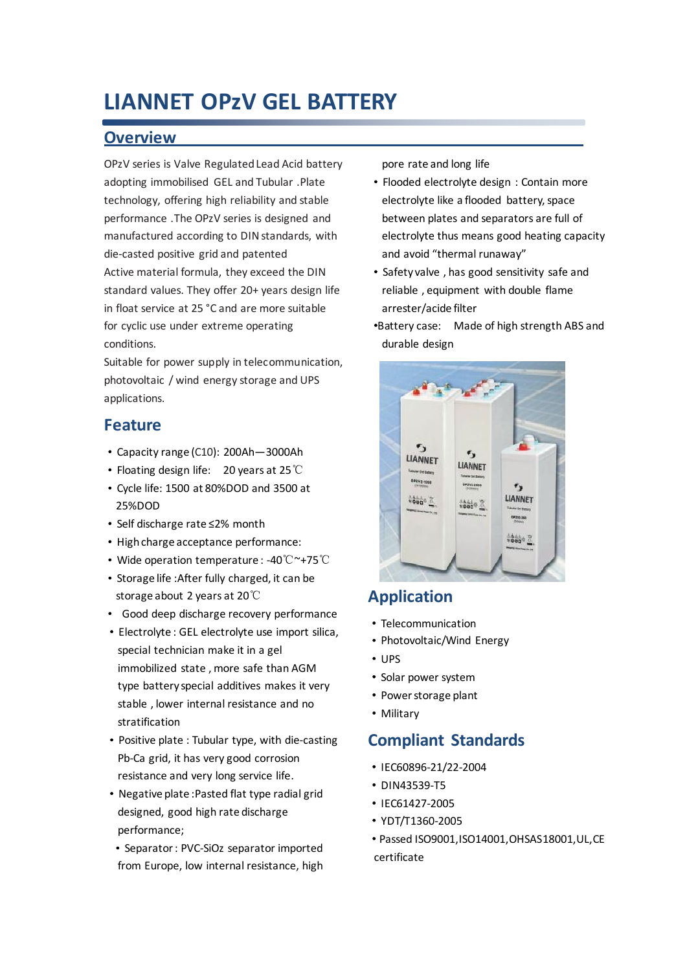## **LIANNET OPzV GEL BATTERY**

#### **Overview**

OPzV series is Valve Regulated Lead Acid battery adopting immobilised GEL and Tubular .Plate technology, offering high reliability and stable performance .The OPzV series is designed and manufactured according to DIN standards, with die-casted positive grid and patented Active material formula, they exceed the DIN standard values. They offer 20+ years design life in float service at 25 °C and are more suitable for cyclic use under extreme operating conditions.

Suitable for power supply in telecommunication. photovoltaic / wind energy storage and UPS applications.

#### **Feature**

- ·Capacity range (C10): 200Ah—3000Ah
- ·Floating design life: 20 years at 25℃
- ·Cycle life: 1500 at 80%DOD and 3500 at 25%DOD
- ·Self discharge rate ≤2% month
- ·High charge acceptance performance:
- ·Wide operation temperature : -40℃~+75℃
- ·Storage life :After fully charged, it can be storage about 2 years at 20℃
- · Good deep discharge recovery performance
- ·Electrolyte : GEL electrolyte use import silica, special technician make it in a gel immobilized state , more safe than AGM type battery special additives makes it very stable , lower internal resistance and no stratification
- ·Positive plate : Tubular type, with die-casting Pb-Ca grid, it has very good corrosion resistance and very long service life.
- ·Negative plate :Pasted flat type radial grid designed, good high rate discharge performance;
- ·Separator : PVC-SiOz separator imported from Europe, low internal resistance, high

pore rate and long life

- ·Flooded electrolyte design : Contain more electrolyte like a flooded battery, space between plates and separators are full of electrolyte thus means good heating capacity and avoid "thermal runaway"
- ·Safety valve , has good sensitivity safe and reliable , equipment with double flame arrester/acide filter
- ·Battery case: Made of high strength ABS and durable design



## **Application**

- ·Telecommunication
- ·Photovoltaic/Wind Energy
- ·UPS
- ·Solar power system
- ·Power storage plant
- ·Military

#### **Compliant Standards**

- ·IEC60896-21/22-2004
- ·DIN43539-T5
- ·IEC61427-2005
- ·YDT/T1360-2005
- ·Passed ISO9001,ISO14001,OHSAS18001,UL,CE certificate